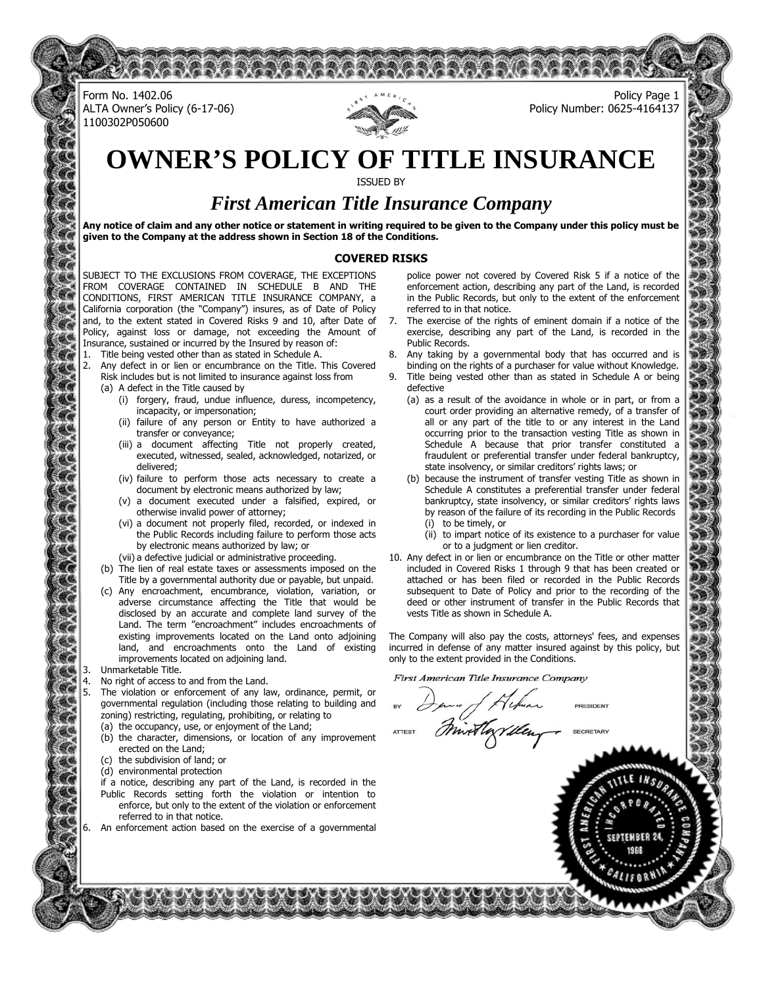Form No. 1402.06 ALTA Ownerís Policy (6-17-06) 1100302P050600



Policy Page 1 Policy Number: 0625-4164137

# **OWNER'S POLICY OF TITLE INSURANCE**

ISSUED BY

## *First American Title Insurance Company*

**Any notice of claim and any other notice or statement in writing required to be given to the Company under this policy must be given to the Company at the address shown in Section 18 of the Conditions.** 

#### **COVERED RISKS**

SUBJECT TO THE EXCLUSIONS FROM COVERAGE, THE EXCEPTIONS FROM COVERAGE CONTAINED IN SCHEDULE B AND THE CONDITIONS, FIRST AMERICAN TITLE INSURANCE COMPANY, a California corporation (the "Company") insures, as of Date of Policy and, to the extent stated in Covered Risks 9 and 10, after Date of Policy, against loss or damage, not exceeding the Amount of Insurance, sustained or incurred by the Insured by reason of:

- 1. Title being vested other than as stated in Schedule A.
- 2. Any defect in or lien or encumbrance on the Title. This Covered Risk includes but is not limited to insurance against loss from
	- (a) A defect in the Title caused by
		- (i) forgery, fraud, undue influence, duress, incompetency, incapacity, or impersonation;
		- (ii) failure of any person or Entity to have authorized a transfer or conveyance;
		- (iii) a document affecting Title not properly created, executed, witnessed, sealed, acknowledged, notarized, or delivered;
		- (iv) failure to perform those acts necessary to create a document by electronic means authorized by law;
		- (v) a document executed under a falsified, expired, or otherwise invalid power of attorney;
		- (vi) a document not properly filed, recorded, or indexed in the Public Records including failure to perform those acts by electronic means authorized by law; or
		- (vii) a defective judicial or administrative proceeding.
	- (b) The lien of real estate taxes or assessments imposed on the Title by a governmental authority due or payable, but unpaid.
	- (c) Any encroachment, encumbrance, violation, variation, or adverse circumstance affecting the Title that would be disclosed by an accurate and complete land survey of the Land. The term "encroachment" includes encroachments of existing improvements located on the Land onto adjoining land, and encroachments onto the Land of existing improvements located on adjoining land.
	- Unmarketable Title.
- 4. No right of access to and from the Land.
	- The violation or enforcement of any law, ordinance, permit, or governmental regulation (including those relating to building and zoning) restricting, regulating, prohibiting, or relating to
	- (a) the occupancy, use, or enjoyment of the Land;
	- (b) the character, dimensions, or location of any improvement erected on the Land;
	- (c) the subdivision of land; or
	- (d) environmental protection
	- if a notice, describing any part of the Land, is recorded in the Public Records setting forth the violation or intention to enforce, but only to the extent of the violation or enforcement referred to in that notice.
	- An enforcement action based on the exercise of a governmental

police power not covered by Covered Risk 5 if a notice of the enforcement action, describing any part of the Land, is recorded in the Public Records, but only to the extent of the enforcement referred to in that notice.

- 7. The exercise of the rights of eminent domain if a notice of the exercise, describing any part of the Land, is recorded in the Public Records.
- 8. Any taking by a governmental body that has occurred and is binding on the rights of a purchaser for value without Knowledge.
- 9. Title being vested other than as stated in Schedule A or being defective
	- (a) as a result of the avoidance in whole or in part, or from a court order providing an alternative remedy, of a transfer of all or any part of the title to or any interest in the Land occurring prior to the transaction vesting Title as shown in Schedule A because that prior transfer constituted a fraudulent or preferential transfer under federal bankruptcy, state insolvency, or similar creditors' rights laws; or
	- (b) because the instrument of transfer vesting Title as shown in Schedule A constitutes a preferential transfer under federal bankruptcy, state insolvency, or similar creditors' rights laws by reason of the failure of its recording in the Public Records (i) to be timely, or
		- (ii) to impart notice of its existence to a purchaser for value or to a judgment or lien creditor.

ωz

10. Any defect in or lien or encumbrance on the Title or other matter included in Covered Risks 1 through 9 that has been created or attached or has been filed or recorded in the Public Records subsequent to Date of Policy and prior to the recording of the deed or other instrument of transfer in the Public Records that vests Title as shown in Schedule A.

The Company will also pay the costs, attorneys' fees, and expenses incurred in defense of any matter insured against by this policy, but only to the extent provided in the Conditions.

PRESIDENT

SECRETARY

First American Title Insurance Company

ming Alfun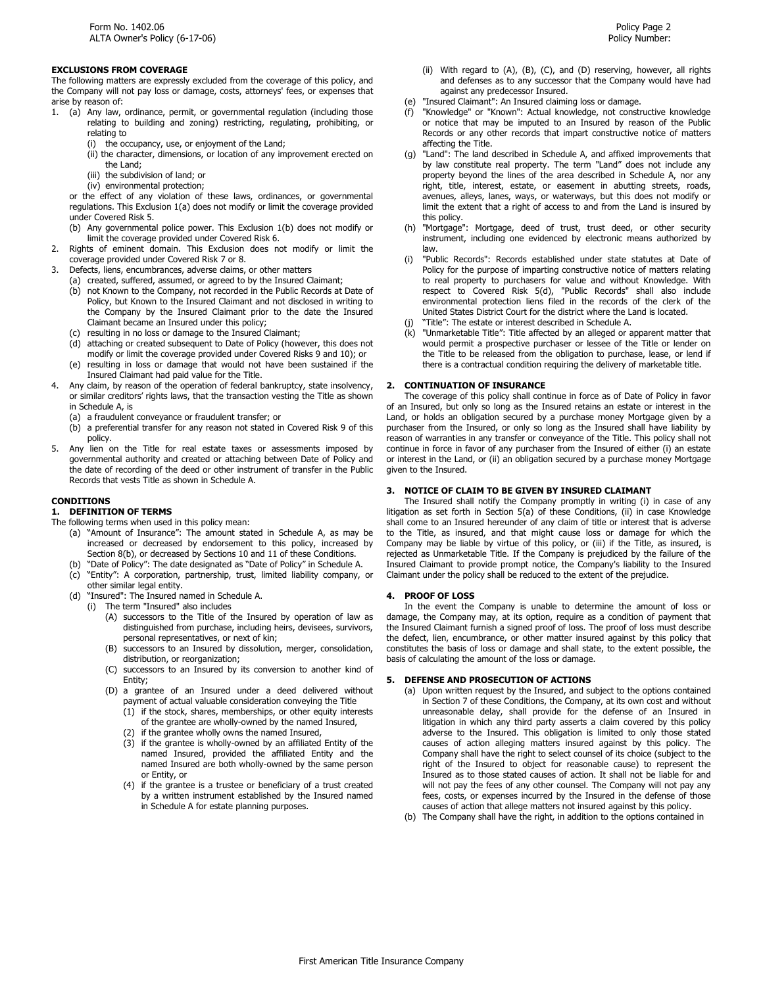#### **EXCLUSIONS FROM COVERAGE**

The following matters are expressly excluded from the coverage of this policy, and the Company will not pay loss or damage, costs, attorneys' fees, or expenses that arise by reason of:

- 1. (a) Any law, ordinance, permit, or governmental regulation (including those relating to building and zoning) restricting, regulating, prohibiting, or relating to
	- (i) the occupancy, use, or enjoyment of the Land;
	- (ii) the character, dimensions, or location of any improvement erected on the Land;
	- (iii) the subdivision of land; or
	- (iv) environmental protection;

 or the effect of any violation of these laws, ordinances, or governmental regulations. This Exclusion 1(a) does not modify or limit the coverage provided under Covered Risk 5.

- (b) Any governmental police power. This Exclusion 1(b) does not modify or limit the coverage provided under Covered Risk 6.
- 2. Rights of eminent domain. This Exclusion does not modify or limit the coverage provided under Covered Risk 7 or 8.

3. Defects, liens, encumbrances, adverse claims, or other matters

- (a) created, suffered, assumed, or agreed to by the Insured Claimant;
	- (b) not Known to the Company, not recorded in the Public Records at Date of Policy, but Known to the Insured Claimant and not disclosed in writing to the Company by the Insured Claimant prior to the date the Insured Claimant became an Insured under this policy;
	- (c) resulting in no loss or damage to the Insured Claimant;
	- (d) attaching or created subsequent to Date of Policy (however, this does not modify or limit the coverage provided under Covered Risks 9 and 10); or
- (e) resulting in loss or damage that would not have been sustained if the Insured Claimant had paid value for the Title.
- 4. Any claim, by reason of the operation of federal bankruptcy, state insolvency, or similar creditors' rights laws, that the transaction vesting the Title as shown in Schedule A, is
	- (a) a fraudulent conveyance or fraudulent transfer; or
	- (b) a preferential transfer for any reason not stated in Covered Risk 9 of this policy.
- 5. Any lien on the Title for real estate taxes or assessments imposed by governmental authority and created or attaching between Date of Policy and the date of recording of the deed or other instrument of transfer in the Public Records that vests Title as shown in Schedule A.

#### **CONDITIONS**

#### **1. DEFINITION OF TERMS**

- The following terms when used in this policy mean:
	- (a) "Amount of Insurance": The amount stated in Schedule A, as may be increased or decreased by endorsement to this policy, increased by Section 8(b), or decreased by Sections 10 and 11 of these Conditions.
		- "Date of Policy": The date designated as "Date of Policy" in Schedule A.
	- (c) "Entity": A corporation, partnership, trust, limited liability company, or other similar legal entity.
	- (d) "Insured": The Insured named in Schedule A.
		- (i) The term "Insured" also includes
			- (A) successors to the Title of the Insured by operation of law as distinguished from purchase, including heirs, devisees, survivors, personal representatives, or next of kin;
			- (B) successors to an Insured by dissolution, merger, consolidation, distribution, or reorganization;
			- (C) successors to an Insured by its conversion to another kind of Entity;
			- (D) a grantee of an Insured under a deed delivered without payment of actual valuable consideration conveying the Title
				- (1) if the stock, shares, memberships, or other equity interests of the grantee are wholly-owned by the named Insured,
				- (2) if the grantee wholly owns the named Insured,
				- (3) if the grantee is wholly-owned by an affiliated Entity of the named Insured, provided the affiliated Entity and the named Insured are both wholly-owned by the same person or Entity, or
				- (4) if the grantee is a trustee or beneficiary of a trust created by a written instrument established by the Insured named in Schedule A for estate planning purposes.
- (ii) With regard to (A), (B), (C), and (D) reserving, however, all rights and defenses as to any successor that the Company would have had against any predecessor Insured.
- (e) "Insured Claimant": An Insured claiming loss or damage.
- "Knowledge" or "Known": Actual knowledge, not constructive knowledge or notice that may be imputed to an Insured by reason of the Public Records or any other records that impart constructive notice of matters affecting the Title.
- "Land": The land described in Schedule A, and affixed improvements that by law constitute real property. The term "Land" does not include any property beyond the lines of the area described in Schedule A, nor any right, title, interest, estate, or easement in abutting streets, roads, avenues, alleys, lanes, ways, or waterways, but this does not modify or limit the extent that a right of access to and from the Land is insured by this policy.
- (h) "Mortgage": Mortgage, deed of trust, trust deed, or other security instrument, including one evidenced by electronic means authorized by law.
- "Public Records": Records established under state statutes at Date of Policy for the purpose of imparting constructive notice of matters relating to real property to purchasers for value and without Knowledge. With respect to Covered Risk 5(d), "Public Records" shall also include environmental protection liens filed in the records of the clerk of the United States District Court for the district where the Land is located.
- "Title": The estate or interest described in Schedule A.
- (k) "Unmarketable Title": Title affected by an alleged or apparent matter that would permit a prospective purchaser or lessee of the Title or lender on the Title to be released from the obligation to purchase, lease, or lend if there is a contractual condition requiring the delivery of marketable title.

#### **2. CONTINUATION OF INSURANCE**

 The coverage of this policy shall continue in force as of Date of Policy in favor of an Insured, but only so long as the Insured retains an estate or interest in the Land, or holds an obligation secured by a purchase money Mortgage given by a purchaser from the Insured, or only so long as the Insured shall have liability by reason of warranties in any transfer or conveyance of the Title. This policy shall not continue in force in favor of any purchaser from the Insured of either (i) an estate or interest in the Land, or (ii) an obligation secured by a purchase money Mortgage given to the Insured.

#### **3. NOTICE OF CLAIM TO BE GIVEN BY INSURED CLAIMANT**

 The Insured shall notify the Company promptly in writing (i) in case of any litigation as set forth in Section 5(a) of these Conditions, (ii) in case Knowledge shall come to an Insured hereunder of any claim of title or interest that is adverse to the Title, as insured, and that might cause loss or damage for which the Company may be liable by virtue of this policy, or (iii) if the Title, as insured, is rejected as Unmarketable Title. If the Company is prejudiced by the failure of the Insured Claimant to provide prompt notice, the Company's liability to the Insured Claimant under the policy shall be reduced to the extent of the prejudice.

#### **4. PROOF OF LOSS**

 In the event the Company is unable to determine the amount of loss or damage, the Company may, at its option, require as a condition of payment that the Insured Claimant furnish a signed proof of loss. The proof of loss must describe the defect, lien, encumbrance, or other matter insured against by this policy that constitutes the basis of loss or damage and shall state, to the extent possible, the basis of calculating the amount of the loss or damage.

#### **5. DEFENSE AND PROSECUTION OF ACTIONS**

- (a) Upon written request by the Insured, and subject to the options contained in Section 7 of these Conditions, the Company, at its own cost and without unreasonable delay, shall provide for the defense of an Insured in litigation in which any third party asserts a claim covered by this policy adverse to the Insured. This obligation is limited to only those stated causes of action alleging matters insured against by this policy. The Company shall have the right to select counsel of its choice (subject to the right of the Insured to object for reasonable cause) to represent the Insured as to those stated causes of action. It shall not be liable for and will not pay the fees of any other counsel. The Company will not pay any fees, costs, or expenses incurred by the Insured in the defense of those causes of action that allege matters not insured against by this policy.
- (b) The Company shall have the right, in addition to the options contained in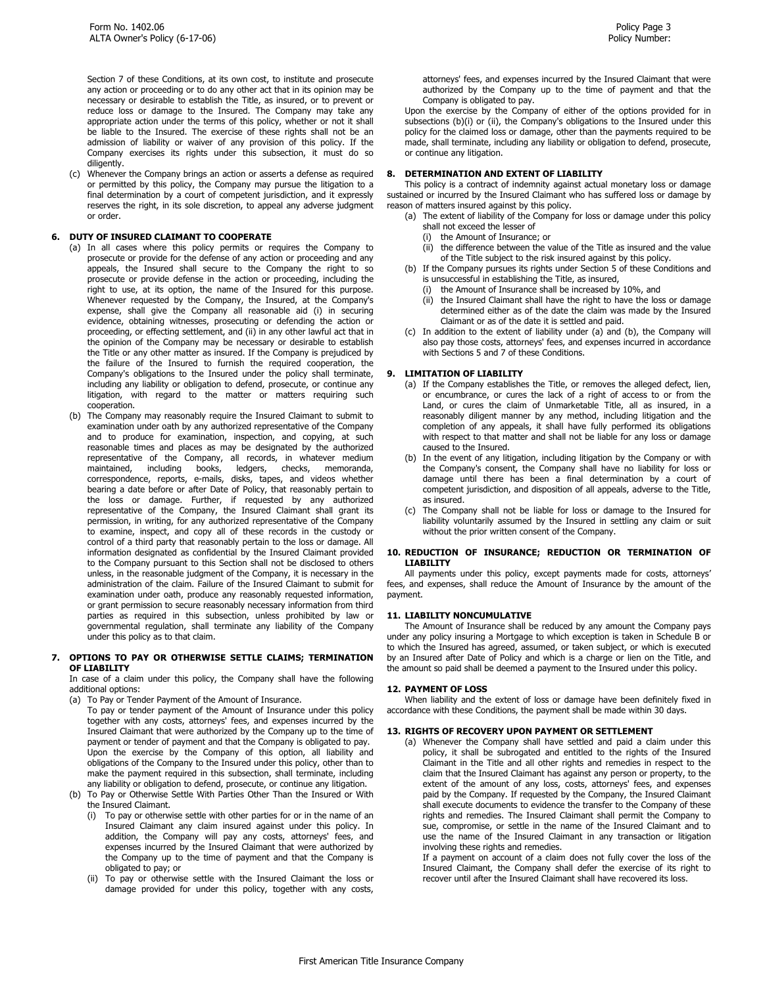Section 7 of these Conditions, at its own cost, to institute and prosecute any action or proceeding or to do any other act that in its opinion may be necessary or desirable to establish the Title, as insured, or to prevent or reduce loss or damage to the Insured. The Company may take any appropriate action under the terms of this policy, whether or not it shall be liable to the Insured. The exercise of these rights shall not be an admission of liability or waiver of any provision of this policy. If the Company exercises its rights under this subsection, it must do so diligently.

 (c) Whenever the Company brings an action or asserts a defense as required or permitted by this policy, the Company may pursue the litigation to a final determination by a court of competent jurisdiction, and it expressly reserves the right, in its sole discretion, to appeal any adverse judgment or order.

#### **6. DUTY OF INSURED CLAIMANT TO COOPERATE**

- (a) In all cases where this policy permits or requires the Company to prosecute or provide for the defense of any action or proceeding and any appeals, the Insured shall secure to the Company the right to so prosecute or provide defense in the action or proceeding, including the right to use, at its option, the name of the Insured for this purpose. Whenever requested by the Company, the Insured, at the Company's expense, shall give the Company all reasonable aid (i) in securing evidence, obtaining witnesses, prosecuting or defending the action or proceeding, or effecting settlement, and (ii) in any other lawful act that in the opinion of the Company may be necessary or desirable to establish the Title or any other matter as insured. If the Company is prejudiced by the failure of the Insured to furnish the required cooperation, the Company's obligations to the Insured under the policy shall terminate, including any liability or obligation to defend, prosecute, or continue any litigation, with regard to the matter or matters requiring such cooperation.
- (b) The Company may reasonably require the Insured Claimant to submit to examination under oath by any authorized representative of the Company and to produce for examination, inspection, and copying, at such reasonable times and places as may be designated by the authorized representative of the Company, all records, in whatever medium maintained, including books, ledgers, checks, memoranda, correspondence, reports, e-mails, disks, tapes, and videos whether bearing a date before or after Date of Policy, that reasonably pertain to the loss or damage. Further, if requested by any authorized representative of the Company, the Insured Claimant shall grant its permission, in writing, for any authorized representative of the Company to examine, inspect, and copy all of these records in the custody or control of a third party that reasonably pertain to the loss or damage. All information designated as confidential by the Insured Claimant provided to the Company pursuant to this Section shall not be disclosed to others unless, in the reasonable judgment of the Company, it is necessary in the administration of the claim. Failure of the Insured Claimant to submit for examination under oath, produce any reasonably requested information, or grant permission to secure reasonably necessary information from third parties as required in this subsection, unless prohibited by law or governmental regulation, shall terminate any liability of the Company under this policy as to that claim.

#### **7. OPTIONS TO PAY OR OTHERWISE SETTLE CLAIMS; TERMINATION OF LIABILITY**

 In case of a claim under this policy, the Company shall have the following additional options:

(a) To Pay or Tender Payment of the Amount of Insurance.

 To pay or tender payment of the Amount of Insurance under this policy together with any costs, attorneys' fees, and expenses incurred by the Insured Claimant that were authorized by the Company up to the time of payment or tender of payment and that the Company is obligated to pay. Upon the exercise by the Company of this option, all liability and obligations of the Company to the Insured under this policy, other than to make the payment required in this subsection, shall terminate, including any liability or obligation to defend, prosecute, or continue any litigation.

- (b) To Pay or Otherwise Settle With Parties Other Than the Insured or With the Insured Claimant.
	- (i) To pay or otherwise settle with other parties for or in the name of an Insured Claimant any claim insured against under this policy. In addition, the Company will pay any costs, attorneys' fees, and expenses incurred by the Insured Claimant that were authorized by the Company up to the time of payment and that the Company is obligated to pay; or
	- (ii) To pay or otherwise settle with the Insured Claimant the loss or damage provided for under this policy, together with any costs,

attorneys' fees, and expenses incurred by the Insured Claimant that were authorized by the Company up to the time of payment and that the Company is obligated to pay.

Upon the exercise by the Company of either of the options provided for in subsections (b)(i) or (ii), the Company's obligations to the Insured under this policy for the claimed loss or damage, other than the payments required to be made, shall terminate, including any liability or obligation to defend, prosecute, or continue any litigation.

#### **8. DETERMINATION AND EXTENT OF LIABILITY**

 This policy is a contract of indemnity against actual monetary loss or damage sustained or incurred by the Insured Claimant who has suffered loss or damage by reason of matters insured against by this policy.

- (a) The extent of liability of the Company for loss or damage under this policy shall not exceed the lesser of
	- (i) the Amount of Insurance; or
	- (ii) the difference between the value of the Title as insured and the value of the Title subject to the risk insured against by this policy.
- (b) If the Company pursues its rights under Section 5 of these Conditions and is unsuccessful in establishing the Title, as insured,
	- (i) the Amount of Insurance shall be increased by 10%, and
	- (ii) the Insured Claimant shall have the right to have the loss or damage determined either as of the date the claim was made by the Insured Claimant or as of the date it is settled and paid.
- (c) In addition to the extent of liability under (a) and (b), the Company will also pay those costs, attorneys' fees, and expenses incurred in accordance with Sections 5 and 7 of these Conditions.

#### **9. LIMITATION OF LIABILITY**

- (a) If the Company establishes the Title, or removes the alleged defect, lien, or encumbrance, or cures the lack of a right of access to or from the Land, or cures the claim of Unmarketable Title, all as insured, in a reasonably diligent manner by any method, including litigation and the completion of any appeals, it shall have fully performed its obligations with respect to that matter and shall not be liable for any loss or damage caused to the Insured.
- (b) In the event of any litigation, including litigation by the Company or with the Company's consent, the Company shall have no liability for loss or damage until there has been a final determination by a court of competent jurisdiction, and disposition of all appeals, adverse to the Title, as insured.
- (c) The Company shall not be liable for loss or damage to the Insured for liability voluntarily assumed by the Insured in settling any claim or suit without the prior written consent of the Company.

#### **10. REDUCTION OF INSURANCE; REDUCTION OR TERMINATION OF LIABILITY**

All payments under this policy, except payments made for costs, attorneys' fees, and expenses, shall reduce the Amount of Insurance by the amount of the payment.

#### **11. LIABILITY NONCUMULATIVE**

 The Amount of Insurance shall be reduced by any amount the Company pays under any policy insuring a Mortgage to which exception is taken in Schedule B or to which the Insured has agreed, assumed, or taken subject, or which is executed by an Insured after Date of Policy and which is a charge or lien on the Title, and the amount so paid shall be deemed a payment to the Insured under this policy.

#### **12. PAYMENT OF LOSS**

 When liability and the extent of loss or damage have been definitely fixed in accordance with these Conditions, the payment shall be made within 30 days.

#### **13. RIGHTS OF RECOVERY UPON PAYMENT OR SETTLEMENT**

 (a) Whenever the Company shall have settled and paid a claim under this policy, it shall be subrogated and entitled to the rights of the Insured Claimant in the Title and all other rights and remedies in respect to the claim that the Insured Claimant has against any person or property, to the extent of the amount of any loss, costs, attorneys' fees, and expenses paid by the Company. If requested by the Company, the Insured Claimant shall execute documents to evidence the transfer to the Company of these rights and remedies. The Insured Claimant shall permit the Company to sue, compromise, or settle in the name of the Insured Claimant and to use the name of the Insured Claimant in any transaction or litigation involving these rights and remedies.

 If a payment on account of a claim does not fully cover the loss of the Insured Claimant, the Company shall defer the exercise of its right to recover until after the Insured Claimant shall have recovered its loss.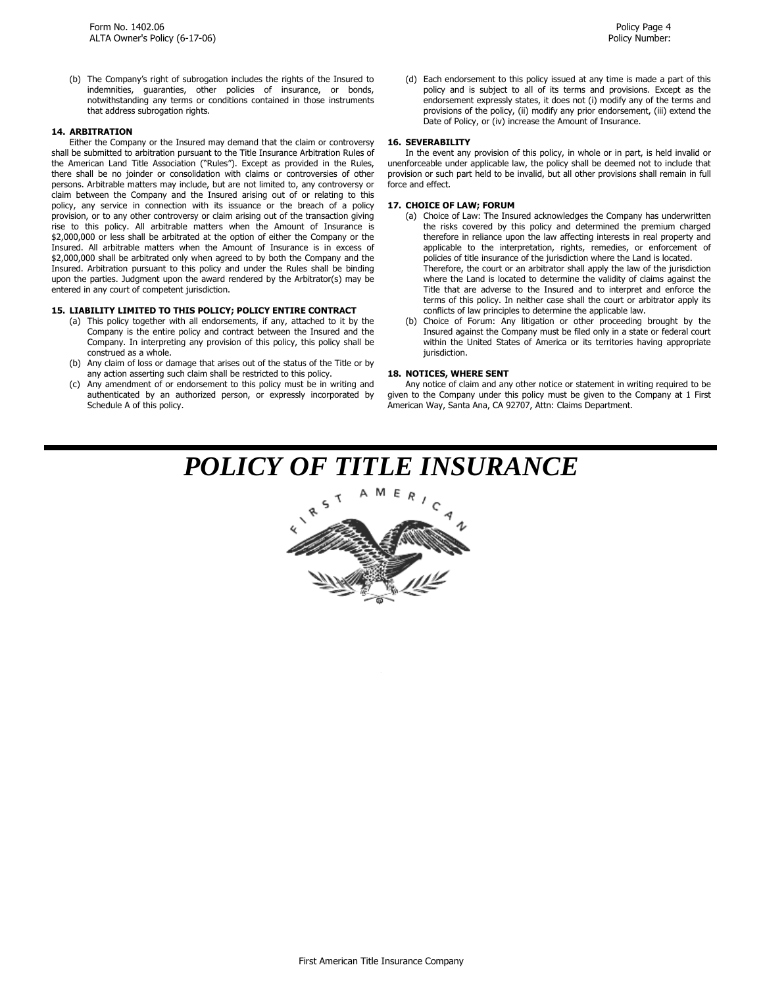(b) The Companyís right of subrogation includes the rights of the Insured to indemnities, guaranties, other policies of insurance, or bonds, notwithstanding any terms or conditions contained in those instruments that address subrogation rights.

#### **14. ARBITRATION**

 Either the Company or the Insured may demand that the claim or controversy shall be submitted to arbitration pursuant to the Title Insurance Arbitration Rules of the American Land Title Association ("Rules"). Except as provided in the Rules, there shall be no joinder or consolidation with claims or controversies of other persons. Arbitrable matters may include, but are not limited to, any controversy or claim between the Company and the Insured arising out of or relating to this policy, any service in connection with its issuance or the breach of a policy provision, or to any other controversy or claim arising out of the transaction giving rise to this policy. All arbitrable matters when the Amount of Insurance is \$2,000,000 or less shall be arbitrated at the option of either the Company or the Insured. All arbitrable matters when the Amount of Insurance is in excess of \$2,000,000 shall be arbitrated only when agreed to by both the Company and the Insured. Arbitration pursuant to this policy and under the Rules shall be binding upon the parties. Judgment upon the award rendered by the Arbitrator(s) may be entered in any court of competent jurisdiction.

#### **15. LIABILITY LIMITED TO THIS POLICY; POLICY ENTIRE CONTRACT**

- (a) This policy together with all endorsements, if any, attached to it by the Company is the entire policy and contract between the Insured and the Company. In interpreting any provision of this policy, this policy shall be construed as a whole.
- (b) Any claim of loss or damage that arises out of the status of the Title or by any action asserting such claim shall be restricted to this policy.
- (c) Any amendment of or endorsement to this policy must be in writing and authenticated by an authorized person, or expressly incorporated by Schedule A of this policy.

 (d) Each endorsement to this policy issued at any time is made a part of this policy and is subject to all of its terms and provisions. Except as the endorsement expressly states, it does not (i) modify any of the terms and provisions of the policy, (ii) modify any prior endorsement, (iii) extend the Date of Policy, or (iv) increase the Amount of Insurance.

#### **16. SEVERABILITY**

 In the event any provision of this policy, in whole or in part, is held invalid or unenforceable under applicable law, the policy shall be deemed not to include that provision or such part held to be invalid, but all other provisions shall remain in full force and effect.

#### **17. CHOICE OF LAW; FORUM**

- (a) Choice of Law: The Insured acknowledges the Company has underwritten the risks covered by this policy and determined the premium charged therefore in reliance upon the law affecting interests in real property and applicable to the interpretation, rights, remedies, or enforcement of policies of title insurance of the jurisdiction where the Land is located. Therefore, the court or an arbitrator shall apply the law of the jurisdiction where the Land is located to determine the validity of claims against the Title that are adverse to the Insured and to interpret and enforce the terms of this policy. In neither case shall the court or arbitrator apply its conflicts of law principles to determine the applicable law.
- (b) Choice of Forum: Any litigation or other proceeding brought by the Insured against the Company must be filed only in a state or federal court within the United States of America or its territories having appropriate jurisdiction.

#### **18. NOTICES, WHERE SENT**

 Any notice of claim and any other notice or statement in writing required to be given to the Company under this policy must be given to the Company at 1 First American Way, Santa Ana, CA 92707, Attn: Claims Department.

# *POLICY OF TITLE INSURANCE*

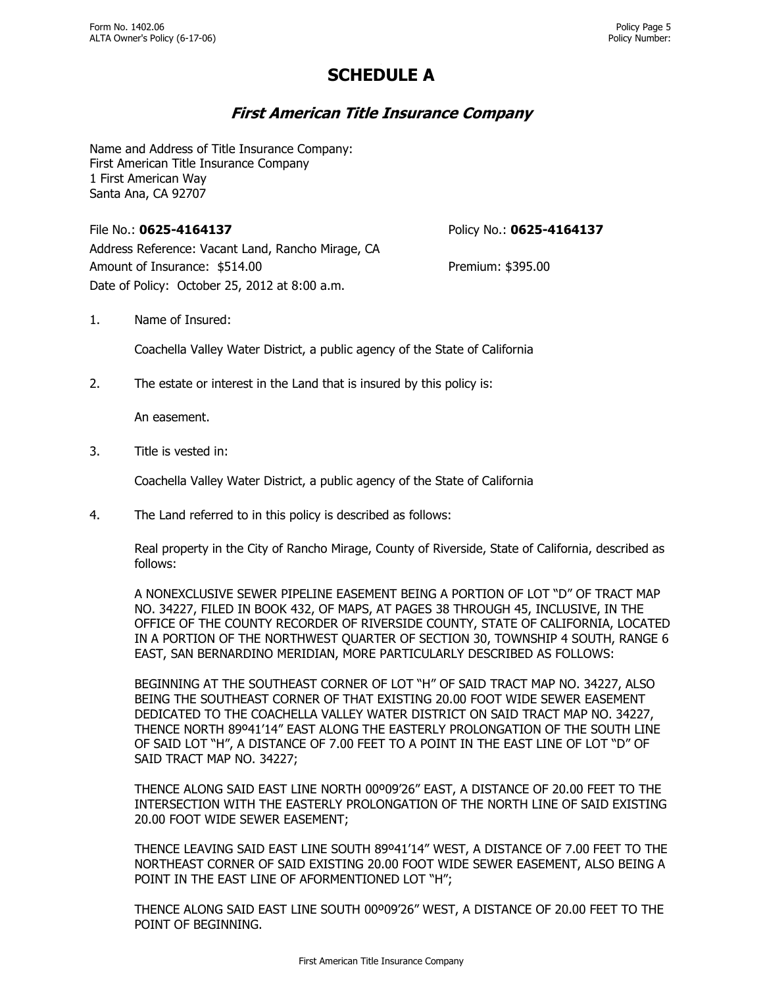## **SCHEDULE A**

## **First American Title Insurance Company**

Name and Address of Title Insurance Company: First American Title Insurance Company 1 First American Way Santa Ana, CA 92707

Date of Policy: October 25, 2012 at 8:00 a.m.

File No.: **0625-4164137** Policy No.: **0625-4164137**  Address Reference: Vacant Land, Rancho Mirage, CA

Amount of Insurance: \$514.00 **Premium: \$395.00** Premium: \$395.00

1. Name of Insured:

Coachella Valley Water District, a public agency of the State of California

2. The estate or interest in the Land that is insured by this policy is:

An easement.

3. Title is vested in:

Coachella Valley Water District, a public agency of the State of California

4. The Land referred to in this policy is described as follows:

Real property in the City of Rancho Mirage, County of Riverside, State of California, described as follows:

A NONEXCLUSIVE SEWER PIPELINE EASEMENT BEING A PORTION OF LOT "D" OF TRACT MAP NO. 34227, FILED IN BOOK 432, OF MAPS, AT PAGES 38 THROUGH 45, INCLUSIVE, IN THE OFFICE OF THE COUNTY RECORDER OF RIVERSIDE COUNTY, STATE OF CALIFORNIA, LOCATED IN A PORTION OF THE NORTHWEST QUARTER OF SECTION 30, TOWNSHIP 4 SOUTH, RANGE 6 EAST, SAN BERNARDINO MERIDIAN, MORE PARTICULARLY DESCRIBED AS FOLLOWS:

BEGINNING AT THE SOUTHEAST CORNER OF LOT "H" OF SAID TRACT MAP NO. 34227, ALSO BEING THE SOUTHEAST CORNER OF THAT EXISTING 20.00 FOOT WIDE SEWER EASEMENT DEDICATED TO THE COACHELLA VALLEY WATER DISTRICT ON SAID TRACT MAP NO. 34227, THENCE NORTH 89º41'14" EAST ALONG THE EASTERLY PROLONGATION OF THE SOUTH LINE OF SAID LOT "H", A DISTANCE OF 7.00 FEET TO A POINT IN THE EAST LINE OF LOT "D" OF SAID TRACT MAP NO. 34227;

THENCE ALONG SAID EAST LINE NORTH 00°09'26" EAST, A DISTANCE OF 20.00 FEET TO THE INTERSECTION WITH THE EASTERLY PROLONGATION OF THE NORTH LINE OF SAID EXISTING 20.00 FOOT WIDE SEWER EASEMENT;

THENCE LEAVING SAID EAST LINE SOUTH 89º41'14" WEST, A DISTANCE OF 7.00 FEET TO THE NORTHEAST CORNER OF SAID EXISTING 20.00 FOOT WIDE SEWER EASEMENT, ALSO BEING A POINT IN THE EAST LINE OF AFORMENTIONED LOT "H";

THENCE ALONG SAID EAST LINE SOUTH 00°09'26" WEST, A DISTANCE OF 20.00 FEET TO THE POINT OF BEGINNING.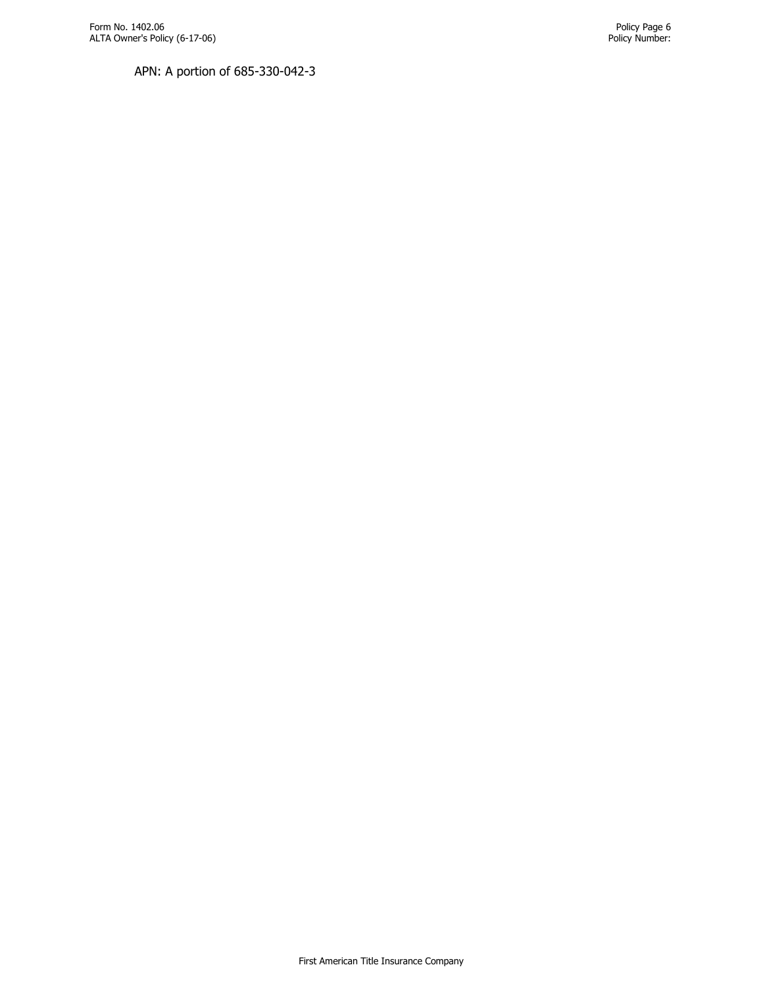APN: A portion of 685-330-042-3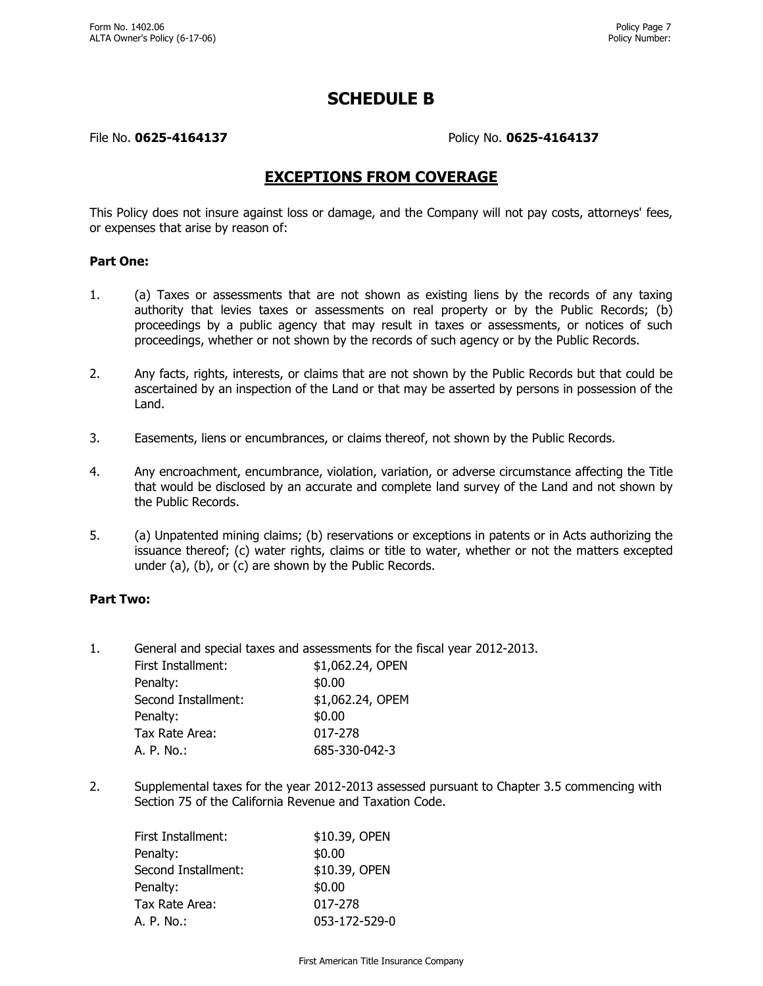## **SCHEDULE B**

File No. **0625-4164137** Policy No. **0625-4164137**

## **EXCEPTIONS FROM COVERAGE**

This Policy does not insure against loss or damage, and the Company will not pay costs, attorneys' fees, or expenses that arise by reason of:

### **Part One:**

- 1. (a) Taxes or assessments that are not shown as existing liens by the records of any taxing authority that levies taxes or assessments on real property or by the Public Records; (b) proceedings by a public agency that may result in taxes or assessments, or notices of such proceedings, whether or not shown by the records of such agency or by the Public Records.
- 2. Any facts, rights, interests, or claims that are not shown by the Public Records but that could be ascertained by an inspection of the Land or that may be asserted by persons in possession of the Land.
- 3. Easements, liens or encumbrances, or claims thereof, not shown by the Public Records.
- 4. Any encroachment, encumbrance, violation, variation, or adverse circumstance affecting the Title that would be disclosed by an accurate and complete land survey of the Land and not shown by the Public Records.
- 5. (a) Unpatented mining claims; (b) reservations or exceptions in patents or in Acts authorizing the issuance thereof; (c) water rights, claims or title to water, whether or not the matters excepted under (a), (b), or (c) are shown by the Public Records.

### **Part Two:**

1. General and special taxes and assessments for the fiscal year 2012-2013.

| First Installment:  | \$1,062.24, OPEN |
|---------------------|------------------|
| Penalty:            | \$0.00           |
| Second Installment: | \$1,062.24, OPEM |
| Penalty:            | \$0.00           |
| Tax Rate Area:      | 017-278          |
| A. P. No.:          | 685-330-042-3    |

2. Supplemental taxes for the year 2012-2013 assessed pursuant to Chapter 3.5 commencing with Section 75 of the California Revenue and Taxation Code.

| First Installment:  | \$10.39, OPEN |
|---------------------|---------------|
| Penalty:            | \$0.00        |
| Second Installment: | \$10.39, OPEN |
| Penalty:            | \$0.00        |
| Tax Rate Area:      | 017-278       |
| A. P. No.:          | 053-172-529-0 |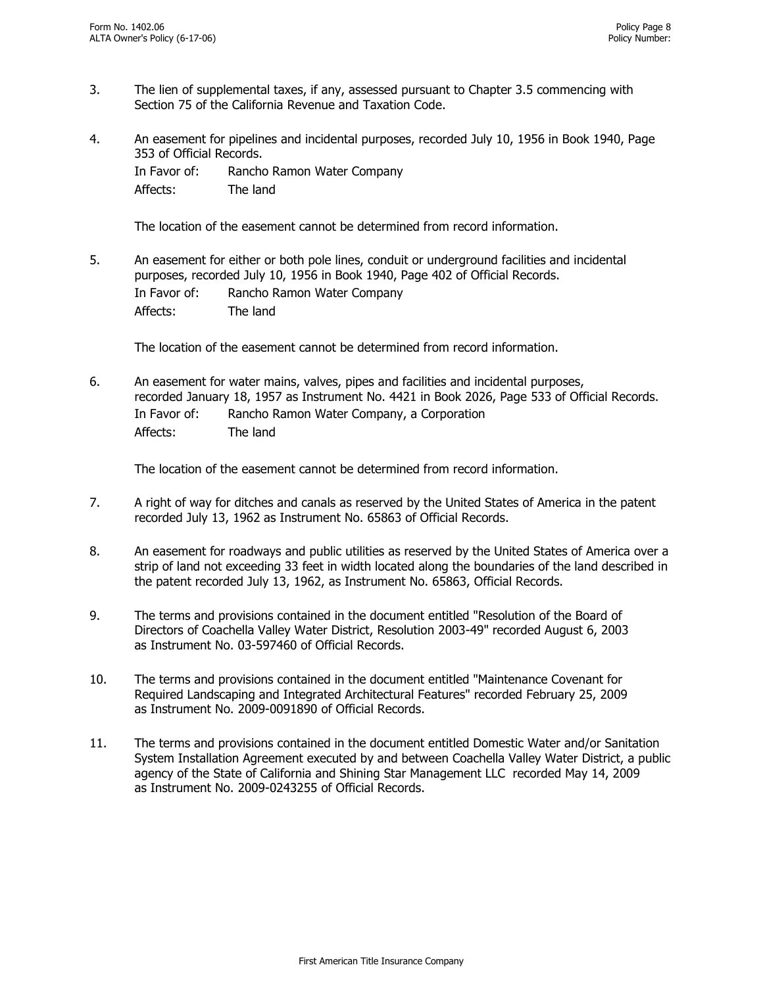- 3. The lien of supplemental taxes, if any, assessed pursuant to Chapter 3.5 commencing with Section 75 of the California Revenue and Taxation Code.
- 4. An easement for pipelines and incidental purposes, recorded July 10, 1956 in Book 1940, Page 353 of Official Records.

In Favor of: Rancho Ramon Water Company Affects: The land

The location of the easement cannot be determined from record information.

5. An easement for either or both pole lines, conduit or underground facilities and incidental purposes, recorded July 10, 1956 in Book 1940, Page 402 of Official Records. In Favor of: Rancho Ramon Water Company Affects: The land

The location of the easement cannot be determined from record information.

6. An easement for water mains, valves, pipes and facilities and incidental purposes, recorded January 18, 1957 as Instrument No. 4421 in Book 2026, Page 533 of Official Records. In Favor of: Rancho Ramon Water Company, a Corporation Affects: The land

The location of the easement cannot be determined from record information.

- 7. A right of way for ditches and canals as reserved by the United States of America in the patent recorded July 13, 1962 as Instrument No. 65863 of Official Records.
- 8. An easement for roadways and public utilities as reserved by the United States of America over a strip of land not exceeding 33 feet in width located along the boundaries of the land described in the patent recorded July 13, 1962, as Instrument No. 65863, Official Records.
- 9. The terms and provisions contained in the document entitled "Resolution of the Board of Directors of Coachella Valley Water District, Resolution 2003-49" recorded August 6, 2003 as Instrument No. 03-597460 of Official Records.
- 10. The terms and provisions contained in the document entitled "Maintenance Covenant for Required Landscaping and Integrated Architectural Features" recorded February 25, 2009 as Instrument No. 2009-0091890 of Official Records.
- 11. The terms and provisions contained in the document entitled Domestic Water and/or Sanitation System Installation Agreement executed by and between Coachella Valley Water District, a public agency of the State of California and Shining Star Management LLC recorded May 14, 2009 as Instrument No. 2009-0243255 of Official Records.